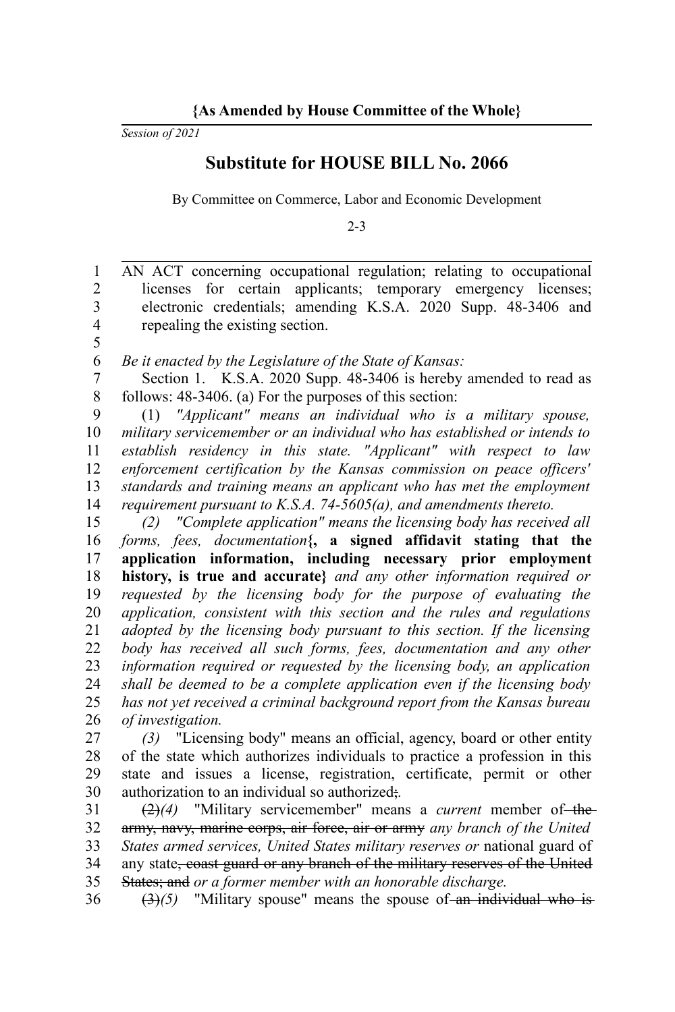*Session of 2021*

5

## **Substitute for HOUSE BILL No. 2066**

By Committee on Commerce, Labor and Economic Development

2-3

AN ACT concerning occupational regulation; relating to occupational licenses for certain applicants; temporary emergency licenses; electronic credentials; amending K.S.A. 2020 Supp. 48-3406 and repealing the existing section. 1 2 3 4

*Be it enacted by the Legislature of the State of Kansas:* 6

Section 1. K.S.A. 2020 Supp. 48-3406 is hereby amended to read as follows: 48-3406. (a) For the purposes of this section: 7 8

(1) *"Applicant" means an individual who is a military spouse, military servicemember or an individual who has established or intends to establish residency in this state. "Applicant" with respect to law enforcement certification by the Kansas commission on peace officers' standards and training means an applicant who has met the employment requirement pursuant to K.S.A. 74-5605(a), and amendments thereto.* 9 10 11 12 13 14

*(2) "Complete application" means the licensing body has received all forms, fees, documentation***{, a signed affidavit stating that the application information, including necessary prior employment history, is true and accurate}** *and any other information required or requested by the licensing body for the purpose of evaluating the application, consistent with this section and the rules and regulations adopted by the licensing body pursuant to this section. If the licensing body has received all such forms, fees, documentation and any other information required or requested by the licensing body, an application shall be deemed to be a complete application even if the licensing body has not yet received a criminal background report from the Kansas bureau of investigation.* 15 16 17 18 19 20 21 22 23 24 25 26

*(3)* "Licensing body" means an official, agency, board or other entity of the state which authorizes individuals to practice a profession in this state and issues a license, registration, certificate, permit or other authorization to an individual so authorized;*.* 27 28 29 30

(2)*(4)* "Military servicemember" means a *current* member of the army, navy, marine corps, air force, air or army *any branch of the United States armed services, United States military reserves or* national guard of any state, coast guard or any branch of the military reserves of the United States; and *or a former member with an honorable discharge.* 31 32 33 34 35

 $(3)(5)$  "Military spouse" means the spouse of an individual who is 36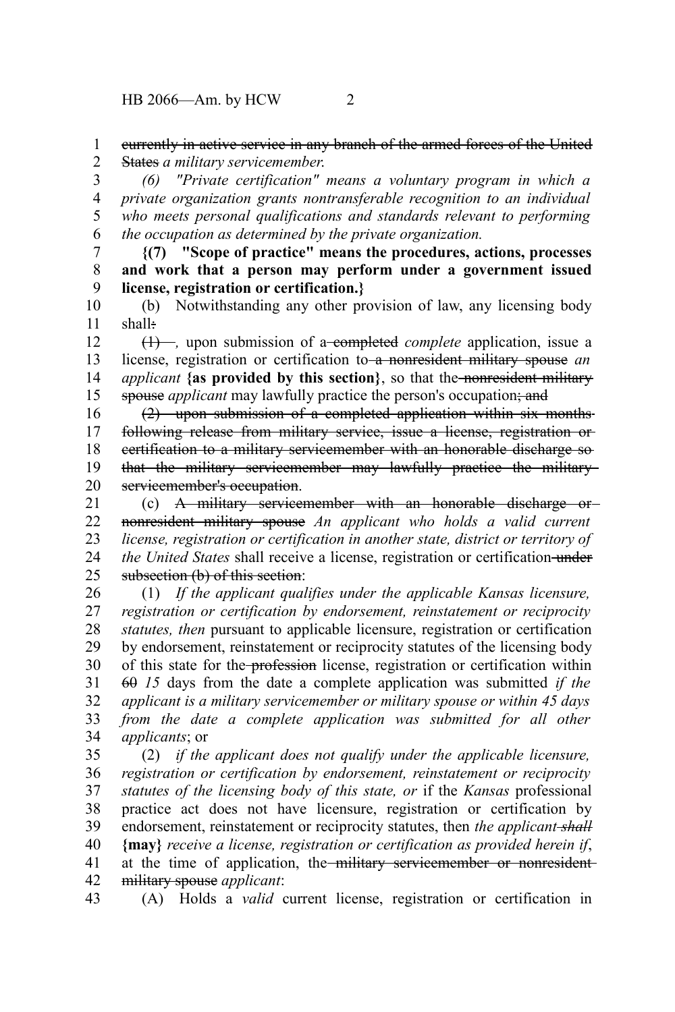## currently in active service in any branch of the armed forces of the United States *a military servicemember*. 1 2

*(6) "Private certification" means a voluntary program in which a private organization grants nontransferable recognition to an individual who meets personal qualifications and standards relevant to performing the occupation as determined by the private organization.* 3 4 5 6

**{(7) "Scope of practice" means the procedures, actions, processes and work that a person may perform under a government issued license, registration or certification.}** 7 8 9

(b) Notwithstanding any other provision of law, any licensing body shall: 10 11

(1) –, upon submission of a completed *complete* application, issue a license, registration or certification to a nonresident military spouse *an applicant* **{as provided by this section}**, so that the nonresident military spouse *applicant* may lawfully practice the person's occupation; and 12 13 14 15

(2) upon submission of a completed application within six months following release from military service, issue a license, registration or certification to a military servicemember with an honorable discharge so that the military servicemember may lawfully practice the military servicemember's occupation. 16 17 18 19 20

(c) A military servicemember with an honorable discharge or nonresident military spouse *An applicant who holds a valid current license, registration or certification in another state, district or territory of the United States* shall receive a license, registration or certification-under subsection (b) of this section: 21 22 23 24 25

(1) *If the applicant qualifies under the applicable Kansas licensure, registration or certification by endorsement, reinstatement or reciprocity statutes, then* pursuant to applicable licensure, registration or certification by endorsement, reinstatement or reciprocity statutes of the licensing body of this state for the profession license, registration or certification within 60 *15* days from the date a complete application was submitted *if the applicant is a military servicemember or military spouse or within 45 days from the date a complete application was submitted for all other applicants*; or 26 27 28 29 30 31 32 33 34

(2) *if the applicant does not qualify under the applicable licensure, registration or certification by endorsement, reinstatement or reciprocity statutes of the licensing body of this state, or* if the *Kansas* professional practice act does not have licensure, registration or certification by endorsement, reinstatement or reciprocity statutes, then *the applicant shall* **{may}** *receive a license, registration or certification as provided herein if*, at the time of application, the military servicemember or nonresidentmilitary spouse *applicant*: 35 36 37 38 39 40 41 42

(A) Holds a *valid* current license, registration or certification in 43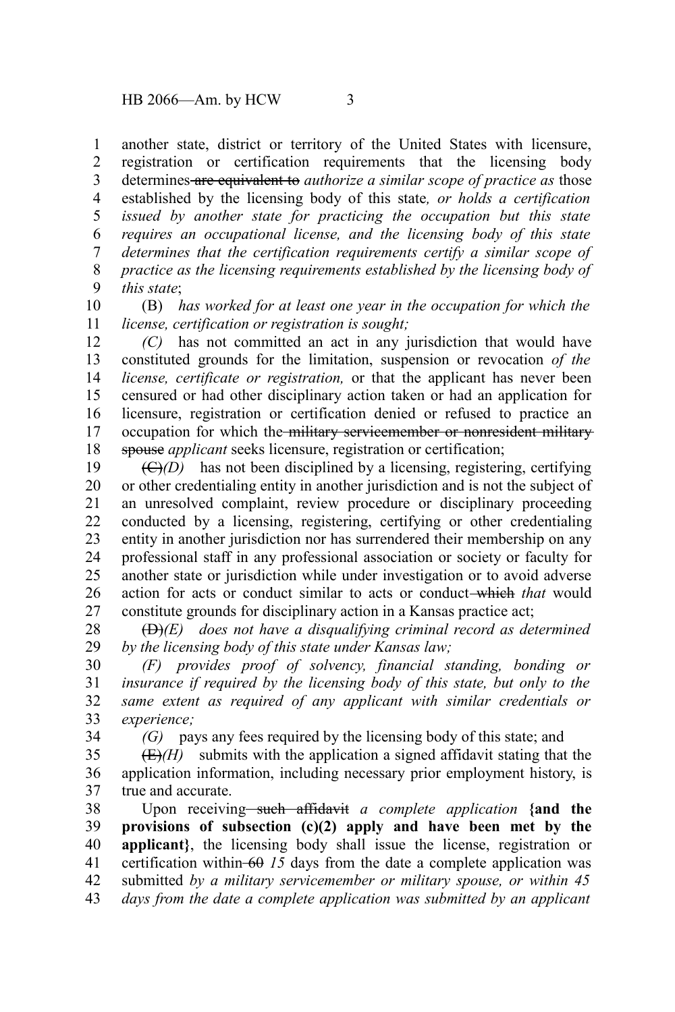another state, district or territory of the United States with licensure, registration or certification requirements that the licensing body determines are equivalent to *authorize a similar scope of practice as* those established by the licensing body of this state*, or holds a certification issued by another state for practicing the occupation but this state requires an occupational license, and the licensing body of this state determines that the certification requirements certify a similar scope of practice as the licensing requirements established by the licensing body of this state*; 1 2 3 4 5 6 7 8 9

(B) *has worked for at least one year in the occupation for which the license, certification or registration is sought;* 10 11

*(C)* has not committed an act in any jurisdiction that would have constituted grounds for the limitation, suspension or revocation *of the license, certificate or registration,* or that the applicant has never been censured or had other disciplinary action taken or had an application for licensure, registration or certification denied or refused to practice an occupation for which the military servicemember or nonresident military spouse *applicant* seeks licensure, registration or certification; 12 13 14 15 16 17 18

(C)*(D)* has not been disciplined by a licensing, registering, certifying or other credentialing entity in another jurisdiction and is not the subject of an unresolved complaint, review procedure or disciplinary proceeding conducted by a licensing, registering, certifying or other credentialing entity in another jurisdiction nor has surrendered their membership on any professional staff in any professional association or society or faculty for another state or jurisdiction while under investigation or to avoid adverse action for acts or conduct similar to acts or conduct which *that* would constitute grounds for disciplinary action in a Kansas practice act; 19 20 21 22 23 24 25 26 27

(D)*(E) does not have a disqualifying criminal record as determined by the licensing body of this state under Kansas law;* 28 29

*(F) provides proof of solvency, financial standing, bonding or insurance if required by the licensing body of this state, but only to the same extent as required of any applicant with similar credentials or experience;* 30 31 32 33

34

*(G)* pays any fees required by the licensing body of this state; and

 $(E)(H)$  submits with the application a signed affidavit stating that the application information, including necessary prior employment history, is true and accurate. 35 36 37

Upon receiving such affidavit *a complete application* {and the **provisions of subsection (c)(2) apply and have been met by the applicant**}, the licensing body shall issue the license, registration or certification within  $-60$  *15* days from the date a complete application was submitted *by a military servicemember or military spouse, or within 45 days from the date a complete application was submitted by an applicant* 38 39 40 41 42 43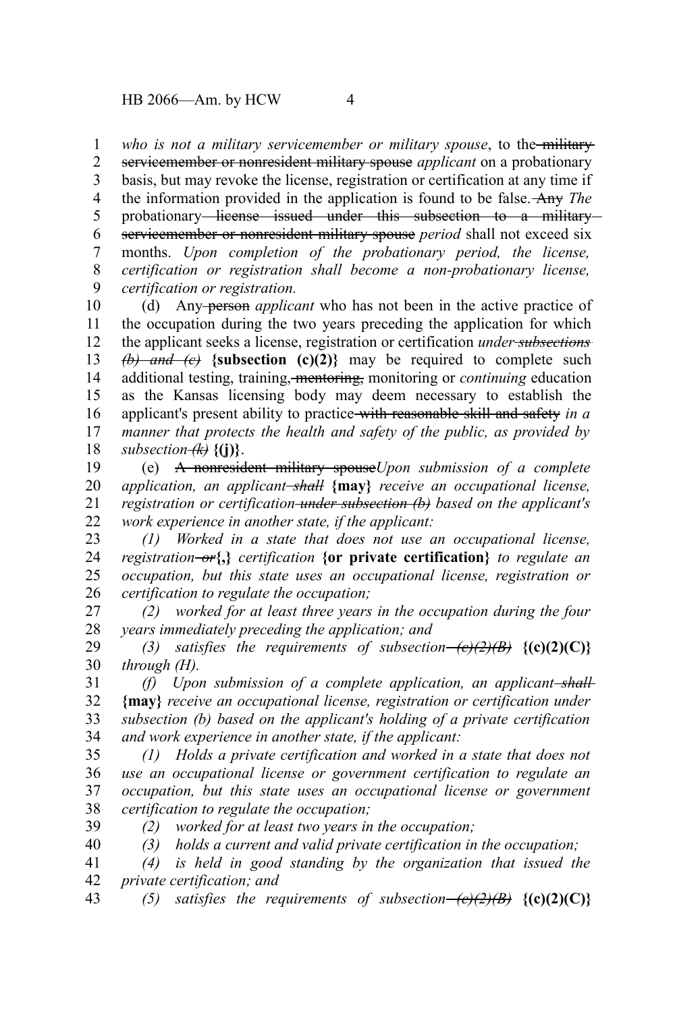who is not a military servicemember or military spouse, to the military 1

servicemember or nonresident military spouse *applicant* on a probationary basis, but may revoke the license, registration or certification at any time if the information provided in the application is found to be false. Any *The* probationary license issued under this subsection to a military servicemember or nonresident military spouse *period* shall not exceed six months. *Upon completion of the probationary period, the license, certification or registration shall become a non-probationary license, certification or registration.* 2 3 4 5 6 7 8 9

(d) Any person *applicant* who has not been in the active practice of the occupation during the two years preceding the application for which the applicant seeks a license, registration or certification *under subsections*  $(b)$  and  $(c)$  {subsection  $(c)(2)$ } may be required to complete such additional testing, training, mentoring, monitoring or *continuing* education as the Kansas licensing body may deem necessary to establish the applicant's present ability to practice with reasonable skill and safety *in a manner that protects the health and safety of the public, as provided by subsection*  $\overline{f(k)}$  {(i)}. 10 11 12 13 14 15 16 17 18

(e) A nonresident military spouse*Upon submission of a complete application, an applicant shall* **{may}** *receive an occupational license, registration or certification under subsection (b) based on the applicant's work experience in another state, if the applicant:* 19 20 21 22

*(1) Worked in a state that does not use an occupational license, registration or***{,}** *certification* **{or private certification}** *to regulate an occupation, but this state uses an occupational license, registration or certification to regulate the occupation;* 23 24 25 26

*(2) worked for at least three years in the occupation during the four years immediately preceding the application; and* 27 28

*(3)* satisfies the requirements of subsection— $\left(\frac{e}{2}\right)\left(\frac{B}{B}\right)$  {(c)(2)(C)} *through (H).* 29 30

*(f) Upon submission of a complete application, an applicant shall* **{may}** *receive an occupational license, registration or certification under subsection (b) based on the applicant's holding of a private certification and work experience in another state, if the applicant:* 31 32 33 34

*(1) Holds a private certification and worked in a state that does not use an occupational license or government certification to regulate an occupation, but this state uses an occupational license or government certification to regulate the occupation;* 35 36 37 38

39

*(2) worked for at least two years in the occupation;*

*(3) holds a current and valid private certification in the occupation;* 40

*(4) is held in good standing by the organization that issued the private certification; and* 41 42

*(5)* satisfies the requirements of subsection– $\left(\frac{e}{2}\right)\left(\frac{B}{B}\right)$  {(c)(2)(C)} 43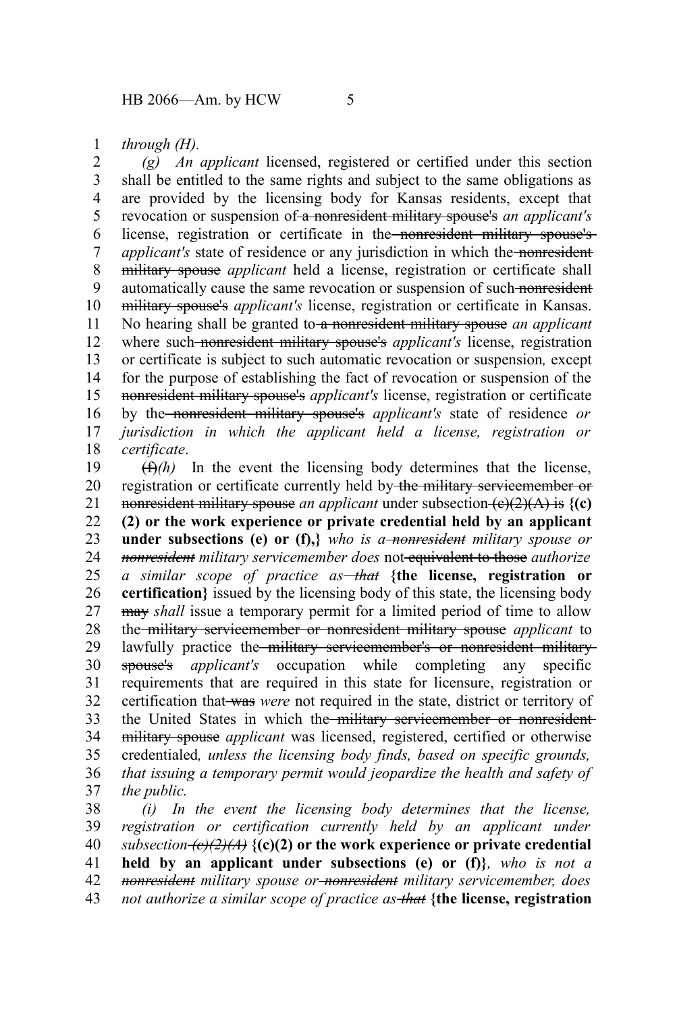*through (H).* 1

*(g) An applicant* licensed, registered or certified under this section shall be entitled to the same rights and subject to the same obligations as are provided by the licensing body for Kansas residents, except that revocation or suspension of a nonresident military spouse's *an applicant's* license, registration or certificate in the nonresident military spouse's *applicant's* state of residence or any jurisdiction in which the nonresident military spouse *applicant* held a license, registration or certificate shall automatically cause the same revocation or suspension of such nonresident military spouse's *applicant's* license, registration or certificate in Kansas. No hearing shall be granted to a nonresident military spouse *an applicant* where such nonresident military spouse's *applicant's* license, registration or certificate is subject to such automatic revocation or suspension*,* except for the purpose of establishing the fact of revocation or suspension of the nonresident military spouse's *applicant's* license, registration or certificate by the nonresident military spouse's *applicant's* state of residence *or jurisdiction in which the applicant held a license, registration or certificate*. 2 3 4 5 6 7 8 9 10 11 12 13 14 15 16 17 18

 $(f)$ <sup>(f)</sup>) In the event the licensing body determines that the license, registration or certificate currently held by the military servicemember or nonresident military spouse *an applicant* under subsection  $(e)(2)(A)$  is  $\{(c)\}$ **(2) or the work experience or private credential held by an applicant under subsections (e) or (f),***}* who is a<del>-nonresident</del> military spouse or *nonresident military servicemember does* not equivalent to those *authorize a similar scope of practice as that* **{the license, registration or certification}** issued by the licensing body of this state, the licensing body may *shall* issue a temporary permit for a limited period of time to allow the military servicemember or nonresident military spouse *applicant* to lawfully practice the military servicemember's or nonresident militaryspouse's *applicant's* occupation while completing any specific requirements that are required in this state for licensure, registration or certification that was *were* not required in the state, district or territory of the United States in which the military servicemember or nonresidentmilitary spouse *applicant* was licensed, registered, certified or otherwise credentialed*, unless the licensing body finds, based on specific grounds, that issuing a temporary permit would jeopardize the health and safety of the public.* 19 20 21 22 23 24 25 26 27 28 29 30 31 32 33 34 35 36 37

*(i) In the event the licensing body determines that the license, registration or certification currently held by an applicant under subsection (c)(2)(A)* **{(c)(2) or the work experience or private credential held by an applicant under subsections (e) or (f)}***, who is not a nonresident military spouse or nonresident military servicemember, does not authorize a similar scope of practice as that* **{the license, registration** 38 39 40 41 42 43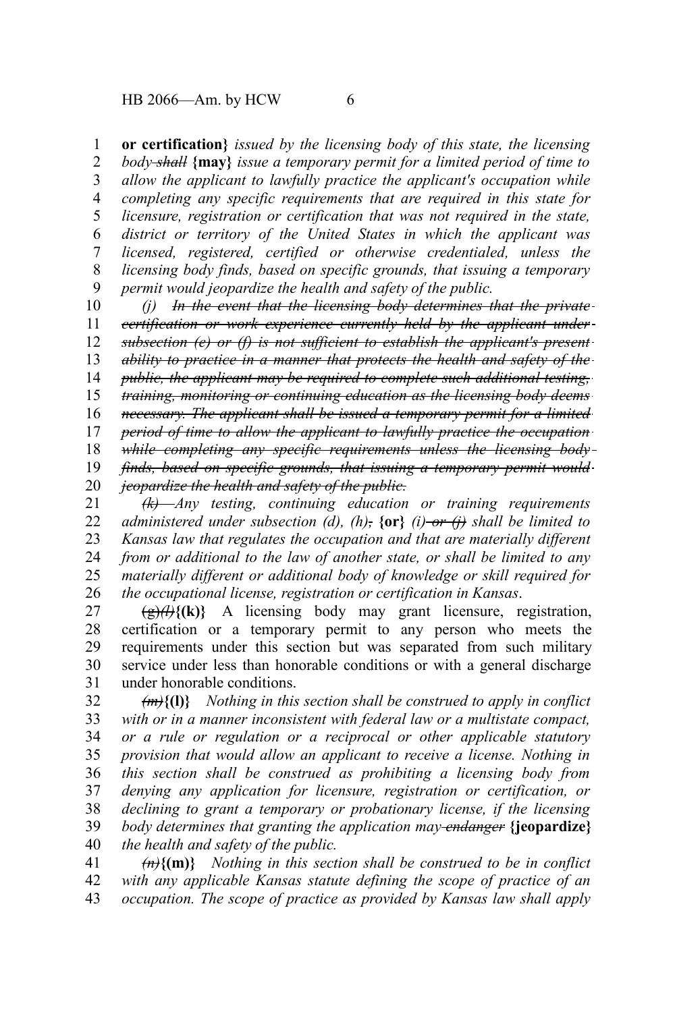**or certification}** *issued by the licensing body of this state, the licensing body shall* **{may}** *issue a temporary permit for a limited period of time to allow the applicant to lawfully practice the applicant's occupation while completing any specific requirements that are required in this state for licensure, registration or certification that was not required in the state, district or territory of the United States in which the applicant was licensed, registered, certified or otherwise credentialed, unless the licensing body finds, based on specific grounds, that issuing a temporary permit would jeopardize the health and safety of the public.* 1 2 3 4 5 6 7 8 9

*(j) In the event that the licensing body determines that the private certification or work experience currently held by the applicant under subsection (e) or (f) is not sufficient to establish the applicant's present ability to practice in a manner that protects the health and safety of the public, the applicant may be required to complete such additional testing, training, monitoring or continuing education as the licensing body deems necessary. The applicant shall be issued a temporary permit for a limited period of time to allow the applicant to lawfully practice the occupation while completing any specific requirements unless the licensing body finds, based on specific grounds, that issuing a temporary permit would jeopardize the health and safety of the public. (k) Any testing, continuing education or training requirements* 10 11 12 13 14 15 16 17 18 19 20 21

*administered under subsection (d), (h),* **{or}** *(i) or (j) shall be limited to Kansas law that regulates the occupation and that are materially different from or additional to the law of another state, or shall be limited to any materially different or additional body of knowledge or skill required for the occupational license, registration or certification in Kansas*. 22 23 24 25 26

 $(g)$  $\overrightarrow{\theta}$  $\overrightarrow{\theta}$  (k)} A licensing body may grant licensure, registration, certification or a temporary permit to any person who meets the requirements under this section but was separated from such military service under less than honorable conditions or with a general discharge under honorable conditions. 27 28 29 30 31

*(m)***{(l)}** *Nothing in this section shall be construed to apply in conflict with or in a manner inconsistent with federal law or a multistate compact, or a rule or regulation or a reciprocal or other applicable statutory provision that would allow an applicant to receive a license. Nothing in this section shall be construed as prohibiting a licensing body from denying any application for licensure, registration or certification, or declining to grant a temporary or probationary license, if the licensing body determines that granting the application may endanger* **{jeopardize}** *the health and safety of the public.* 32 33 34 35 36 37 38 39 40

*(n)***{(m)}** *Nothing in this section shall be construed to be in conflict with any applicable Kansas statute defining the scope of practice of an occupation. The scope of practice as provided by Kansas law shall apply* 41 42 43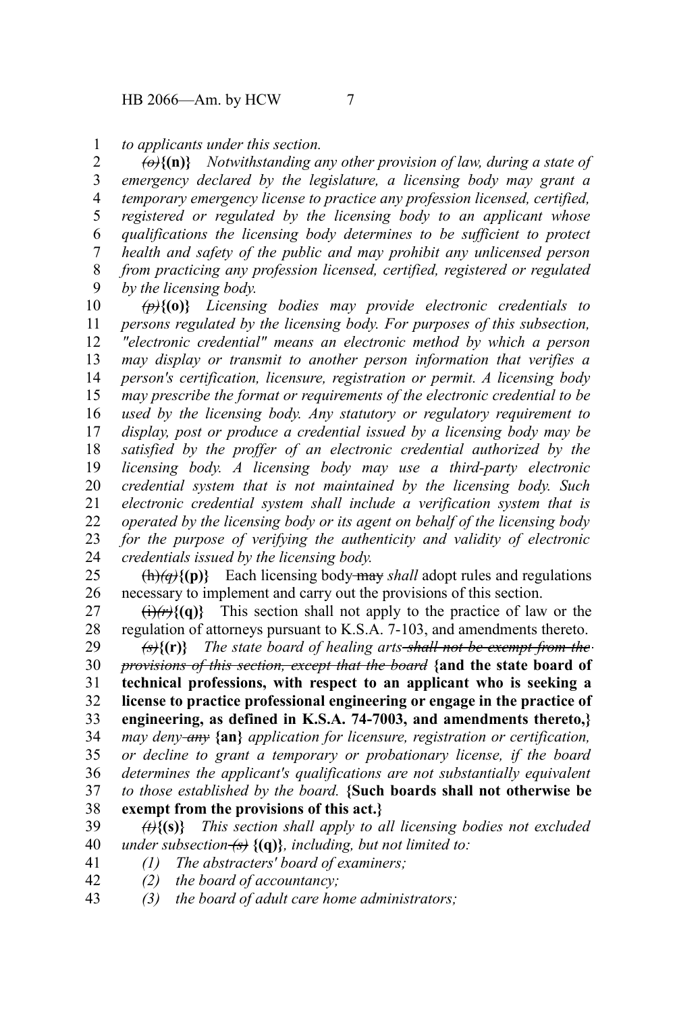## *to applicants under this section.* 1

*(o)***{(n)}** *Notwithstanding any other provision of law, during a state of emergency declared by the legislature, a licensing body may grant a temporary emergency license to practice any profession licensed, certified, registered or regulated by the licensing body to an applicant whose qualifications the licensing body determines to be sufficient to protect health and safety of the public and may prohibit any unlicensed person from practicing any profession licensed, certified, registered or regulated by the licensing body.* 2 3 4 5 6 7 8 9

*(p)***{(o)}** *Licensing bodies may provide electronic credentials to persons regulated by the licensing body. For purposes of this subsection, "electronic credential" means an electronic method by which a person may display or transmit to another person information that verifies a person's certification, licensure, registration or permit. A licensing body may prescribe the format or requirements of the electronic credential to be used by the licensing body. Any statutory or regulatory requirement to display, post or produce a credential issued by a licensing body may be satisfied by the proffer of an electronic credential authorized by the licensing body. A licensing body may use a third-party electronic credential system that is not maintained by the licensing body. Such electronic credential system shall include a verification system that is operated by the licensing body or its agent on behalf of the licensing body for the purpose of verifying the authenticity and validity of electronic credentials issued by the licensing body.* 10 11 12 13 14 15 16 17 18 19 20 21 22 23 24

 $\{\hat{h}\}$ (p)} Each licensing body-may *shall* adopt rules and regulations necessary to implement and carry out the provisions of this section. 25 26

 $(i)$ (*r*) $\{f(q)\}$  This section shall not apply to the practice of law or the regulation of attorneys pursuant to K.S.A. 7-103, and amendments thereto. 27 28

*(s)***{(r)}** *The state board of healing arts shall not be exempt from the provisions of this section, except that the board* **{and the state board of technical professions, with respect to an applicant who is seeking a license to practice professional engineering or engage in the practice of engineering, as defined in K.S.A. 74-7003, and amendments thereto,}** *may deny any* **{an}** *application for licensure, registration or certification, or decline to grant a temporary or probationary license, if the board determines the applicant's qualifications are not substantially equivalent to those established by the board.* **{Such boards shall not otherwise be** 29 30 31 32 33 34 35 36 37

- **exempt from the provisions of this act.}** 38
- *(t)***{(s)}** *This section shall apply to all licensing bodies not excluded under subsection (s)* **{(q)}***, including, but not limited to:* 39 40
- *(1) The abstracters' board of examiners;* 41
- *(2) the board of accountancy;* 42
- *(3) the board of adult care home administrators;* 43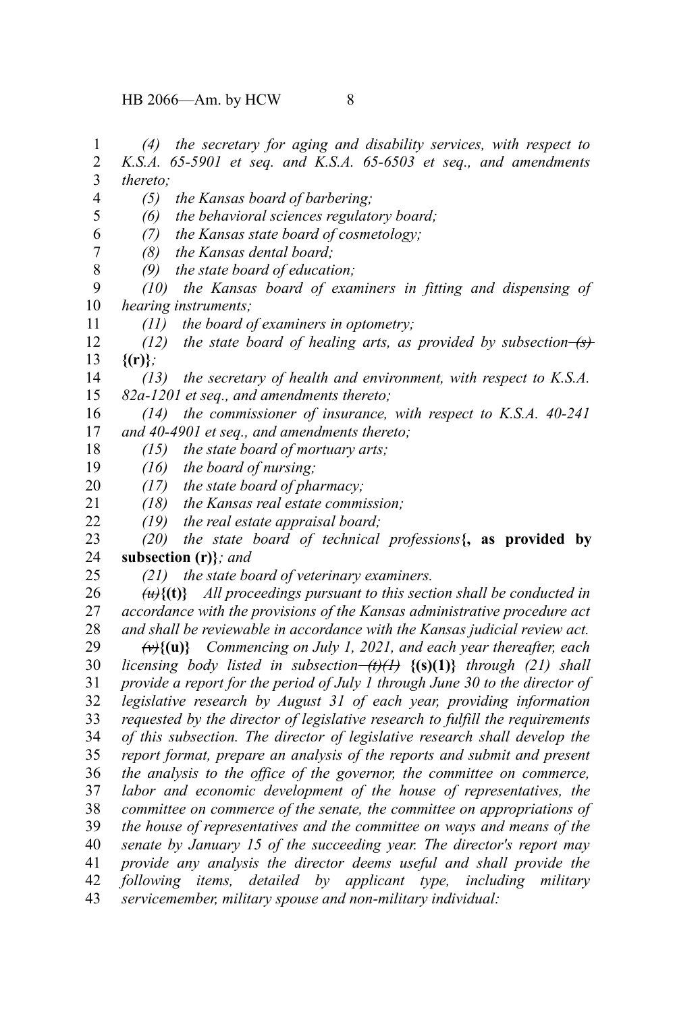*(4) the secretary for aging and disability services, with respect to K.S.A. 65-5901 et seq. and K.S.A. 65-6503 et seq., and amendments thereto; (5) the Kansas board of barbering; (6) the behavioral sciences regulatory board; (7) the Kansas state board of cosmetology; (8) the Kansas dental board; (9) the state board of education; (10) the Kansas board of examiners in fitting and dispensing of hearing instruments; (11) the board of examiners in optometry; (12) the state board of healing arts, as provided by subsection (s)* **{(r)}***; (13) the secretary of health and environment, with respect to K.S.A. 82a-1201 et seq., and amendments thereto; (14) the commissioner of insurance, with respect to K.S.A. 40-241 and 40-4901 et seq., and amendments thereto; (15) the state board of mortuary arts; (16) the board of nursing; (17) the state board of pharmacy; (18) the Kansas real estate commission; (19) the real estate appraisal board; (20) the state board of technical professions***{, as provided by subsection (r)}***; and (21) the state board of veterinary examiners. (u)***{(t)}** *All proceedings pursuant to this section shall be conducted in accordance with the provisions of the Kansas administrative procedure act and shall be reviewable in accordance with the Kansas judicial review act. (v)***{(u)}** *Commencing on July 1, 2021, and each year thereafter, each licensing body listed in subsection (t)(1)* **{(s)(1)}** *through (21) shall provide a report for the period of July 1 through June 30 to the director of legislative research by August 31 of each year, providing information requested by the director of legislative research to fulfill the requirements of this subsection. The director of legislative research shall develop the report format, prepare an analysis of the reports and submit and present the analysis to the office of the governor, the committee on commerce, labor and economic development of the house of representatives, the committee on commerce of the senate, the committee on appropriations of the house of representatives and the committee on ways and means of the senate by January 15 of the succeeding year. The director's report may provide any analysis the director deems useful and shall provide the following items, detailed by applicant type, including military servicemember, military spouse and non-military individual:* 1 2 3 4 5 6 7 8 9 10 11 12 13 14 15 16 17 18 19 20 21 22 23 24 25 26 27 28 29 30 31 32 33 34 35 36 37 38 39 40 41 42 43